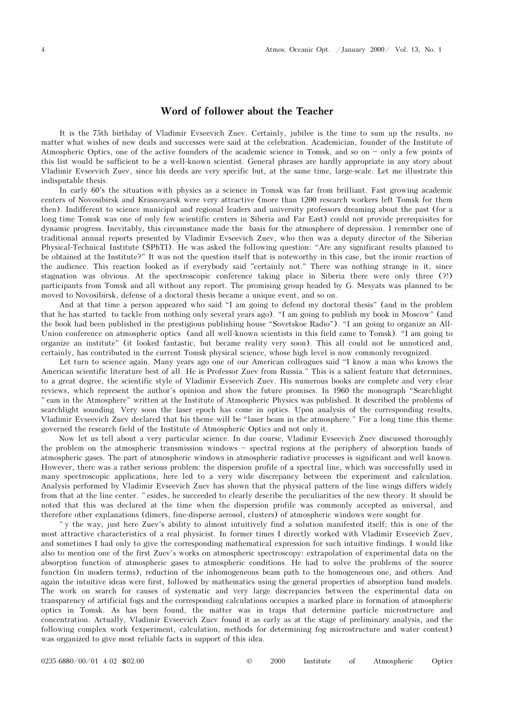## Word of follower about the Teacher

It is the 75th birthday of Vladimir Evseevich Zuev. Certainly, jubilee is the time to sum up the results, no matter what wishes of new deals and successes were said at the celebration. Academician, founder of the Institute of Atmospheric Optics, one of the active founders of the academic science in Tomsk, and so on  $-$  only a few points of this list would be sufficient to be a well-known scientist. General phrases are hardly appropriate in any story about Vladimir Evseevich Zuev, since his deeds are very specific but, at the same time, large-scale. Let me illustrate this indisputable thesis.

In early 60's the situation with physics as a science in Tomsk was far from brilliant. Fast growing academic centers of Novosibirsk and Krasnoyarsk were very attractive (more than 1200 research workers left Tomsk for them then). Indifferent to science municipal and regional leaders and university professors dreaming about the past (for a long time Tomsk was one of only few scientific centers in Siberia and Far East) could not provide prerequisites for dynamic progress. Inevitably, this circumstance made the basis for the atmosphere of depression. I remember one of traditional annual reports presented by Vladimir Evseevich Zuev, who then was a deputy director of the Siberian Physical-Technical Institute (SPhTI). He was asked the following question: "Are any significant results planned to be obtained at the Institute?" It was not the question itself that is noteworthy in this case, but the ironic reaction of the audience. This reaction looked as if everybody said "certainly not." There was nothing strange in it, since stagnation was obvious. At the spectroscopic conference taking place in Siberia there were only three (?!) participants from Tomsk and all without any report. The promising group headed by G. Mesyats was planned to be moved to Novosibirsk, defense of a doctoral thesis became a unique event, and so on.

And at that time a person appeared who said "I am going to defend my doctoral thesis" (and in the problem that he has started to tackle from nothing only several years ago). "I am going to publish my book in Moscow" (and the book had been published in the prestigious publishing house "Sovetskoe Radio"). "I am going to organize an All-Union conference on atmospheric optics (and all well-known scientists in this field came to Tomsk). "I am going to organize an institute" (it looked fantastic, but became reality very soon). This all could not be unnoticed and, certainly, has contributed in the current Tomsk physical science, whose high level is now commonly recognized.

Let turn to science again. Many years ago one of our American colleagues said "I know a man who knows the American scientific literature best of all. He is Professor Zuev from Russia." This is a salient feature that determines, to a great degree, the scientific style of Vladimir Evseevich Zuev. His numerous books are complete and very clear reviews, which represent the author's opinion and show the future promises. In 1960 the monograph "Searchlight " eam in the Atmosphere" written at the Institute of Atmospheric Physics was published. It described the problems of searchlight sounding. Very soon the laser epoch has come in optics. Upon analysis of the corresponding results, Vladimir Evseevich Zuev declared that his theme will be "laser beam in the atmosphere." For a long time this theme governed the research field of the Institute of Atmospheric Optics and not only it.

Now let us tell about a very particular science. In due course, Vladimir Evseevich Zuev discussed thoroughly the problem on the atmospheric transmission windows  $-$  spectral regions at the periphery of absorption bands of atmospheric gases. The part of atmospheric windows in atmospheric radiative processes is significant and well known. However, there was a rather serious problem: the dispersion profile of a spectral line, which was successfully used in many spectroscopic applications, here led to a very wide discrepancy between the experiment and calculation. Analysis performed by Vladimir Evseevich Zuev has shown that the physical pattern of the line wings differs widely from that at the line center. "esides, he succeeded to clearly describe the peculiarities of the new theory. It should be noted that this was declared at the time when the dispersion profile was commonly accepted as universal, and therefore other explanations (dimers, fine-disperse aerosol, clusters) of atmospheric windows were sought for.

"y the way, just here Zuev's ability to almost intuitively find a solution manifested itself; this is one of the most attractive characteristics of a real physicist. In former times I directly worked with Vladimir Evseevich Zuev, and sometimes I had only to give the corresponding mathematical expression for such intuitive findings. I would like also to mention one of the first Zuev's works on atmospheric spectroscopy: extrapolation of experimental data on the absorption function of atmospheric gases to atmospheric conditions. He had to solve the problems of the source function (in modern terms), reduction of the inhomogeneous beam path to the homogeneous one, and others. And again the intuitive ideas were first, followed by mathematics using the general properties of absorption band models. The work on search for causes of systematic and very large discrepancies between the experimental data on transparency of artificial fogs and the corresponding calculations occupies a marked place in formation of atmospheric optics in Tomsk. As has been found, the matter was in traps that determine particle microstructure and concentration. Actually, Vladimir Evseevich Zuev found it as early as at the stage of preliminary analysis, and the following complex work (experiment, calculation, methods for determining fog microstructure and water content) was organized to give most reliable facts in support of this idea.